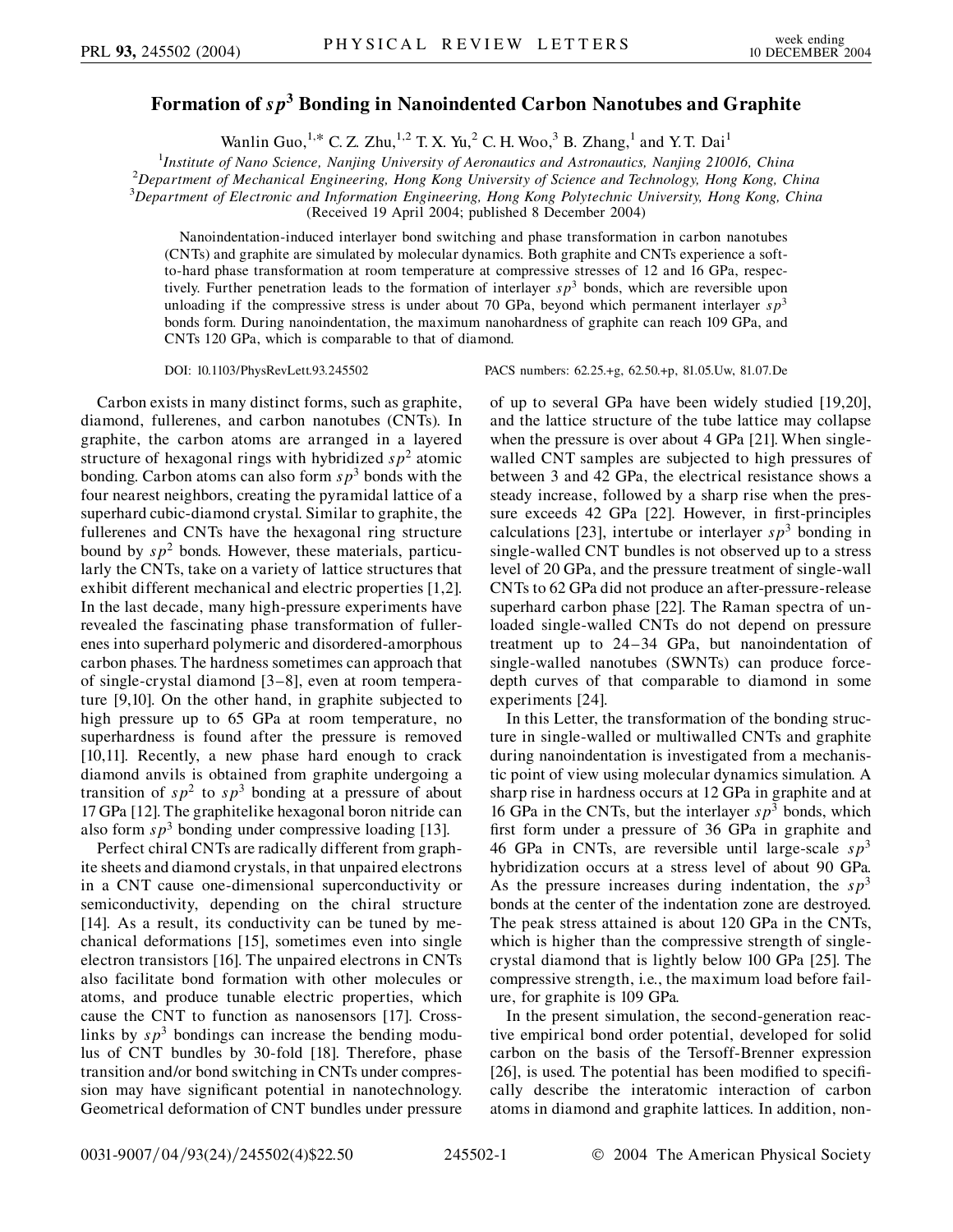## **Formation of** *sp***<sup>3</sup> Bonding in Nanoindented Carbon Nanotubes and Graphite**

Wanlin Guo,<sup>1,\*</sup> C. Z. Zhu,<sup>1,2</sup> T. X. Yu,<sup>2</sup> C. H. Woo,<sup>3</sup> B. Zhang,<sup>1</sup> and Y. T. Dai<sup>1</sup>

<sup>1</sup>*Institute of Nano Science, Nanjing University of Aeronautics and Astronautics, Nanjing 210016, China*<br><sup>2</sup> Department of Machanical Engineering, Hong Kong University of Science and Technology, Hong Kong, C *Department of Mechanical Engineering, Hong Kong University of Science and Technology, Hong Kong, China*

3 *Department of Electronic and Information Engineering, Hong Kong Polytechnic University, Hong Kong, China*

(Received 19 April 2004; published 8 December 2004)

Nanoindentation-induced interlayer bond switching and phase transformation in carbon nanotubes (CNTs) and graphite are simulated by molecular dynamics. Both graphite and CNTs experience a softto-hard phase transformation at room temperature at compressive stresses of 12 and 16 GPa, respectively. Further penetration leads to the formation of interlayer *sp*<sup>3</sup> bonds, which are reversible upon unloading if the compressive stress is under about 70 GPa, beyond which permanent interlayer  $sp<sup>3</sup>$ bonds form. During nanoindentation, the maximum nanohardness of graphite can reach 109 GPa, and CNTs 120 GPa, which is comparable to that of diamond.

Carbon exists in many distinct forms, such as graphite, diamond, fullerenes, and carbon nanotubes (CNTs). In graphite, the carbon atoms are arranged in a layered structure of hexagonal rings with hybridized  $sp<sup>2</sup>$  atomic bonding. Carbon atoms can also form  $s p<sup>3</sup>$  bonds with the four nearest neighbors, creating the pyramidal lattice of a superhard cubic-diamond crystal. Similar to graphite, the fullerenes and CNTs have the hexagonal ring structure bound by  $s p^2$  bonds. However, these materials, particularly the CNTs, take on a variety of lattice structures that exhibit different mechanical and electric properties [1,2]. In the last decade, many high-pressure experiments have revealed the fascinating phase transformation of fullerenes into superhard polymeric and disordered-amorphous carbon phases. The hardness sometimes can approach that of single-crystal diamond [3–8], even at room temperature [9,10]. On the other hand, in graphite subjected to high pressure up to 65 GPa at room temperature, no superhardness is found after the pressure is removed [10,11]. Recently, a new phase hard enough to crack diamond anvils is obtained from graphite undergoing a transition of  $sp^2$  to  $sp^3$  bonding at a pressure of about 17 GPa [12]. The graphitelike hexagonal boron nitride can also form  $s p<sup>3</sup>$  bonding under compressive loading [13].

Perfect chiral CNTs are radically different from graphite sheets and diamond crystals, in that unpaired electrons in a CNT cause one-dimensional superconductivity or semiconductivity, depending on the chiral structure [14]. As a result, its conductivity can be tuned by mechanical deformations [15], sometimes even into single electron transistors [16]. The unpaired electrons in CNTs also facilitate bond formation with other molecules or atoms, and produce tunable electric properties, which cause the CNT to function as nanosensors [17]. Crosslinks by  $s p<sup>3</sup>$  bondings can increase the bending modulus of CNT bundles by 30-fold [18]. Therefore, phase transition and/or bond switching in CNTs under compression may have significant potential in nanotechnology. Geometrical deformation of CNT bundles under pressure

DOI: 10.1103/PhysRevLett.93.245502 PACS numbers: 62.25.+g, 62.50.+p, 81.05.Uw, 81.07.De

of up to several GPa have been widely studied [19,20], and the lattice structure of the tube lattice may collapse when the pressure is over about 4 GPa [21]. When singlewalled CNT samples are subjected to high pressures of between 3 and 42 GPa, the electrical resistance shows a steady increase, followed by a sharp rise when the pressure exceeds 42 GPa [22]. However, in first-principles calculations [23], intertube or interlayer  $s p<sup>3</sup>$  bonding in single-walled CNT bundles is not observed up to a stress level of 20 GPa, and the pressure treatment of single-wall CNTs to 62 GPa did not produce an after-pressure-release superhard carbon phase [22]. The Raman spectra of unloaded single-walled CNTs do not depend on pressure treatment up to 24–34 GPa, but nanoindentation of single-walled nanotubes (SWNTs) can produce forcedepth curves of that comparable to diamond in some experiments [24].

In this Letter, the transformation of the bonding structure in single-walled or multiwalled CNTs and graphite during nanoindentation is investigated from a mechanistic point of view using molecular dynamics simulation. A sharp rise in hardness occurs at 12 GPa in graphite and at 16 GPa in the CNTs, but the interlayer  $sp^3$  bonds, which first form under a pressure of 36 GPa in graphite and 46 GPa in CNTs, are reversible until large-scale  $sp^3$ hybridization occurs at a stress level of about 90 GPa. As the pressure increases during indentation, the  $sp<sup>3</sup>$ bonds at the center of the indentation zone are destroyed. The peak stress attained is about 120 GPa in the CNTs, which is higher than the compressive strength of singlecrystal diamond that is lightly below 100 GPa [25]. The compressive strength, i.e., the maximum load before failure, for graphite is 109 GPa.

In the present simulation, the second-generation reactive empirical bond order potential, developed for solid carbon on the basis of the Tersoff-Brenner expression [26], is used. The potential has been modified to specifically describe the interatomic interaction of carbon atoms in diamond and graphite lattices. In addition, non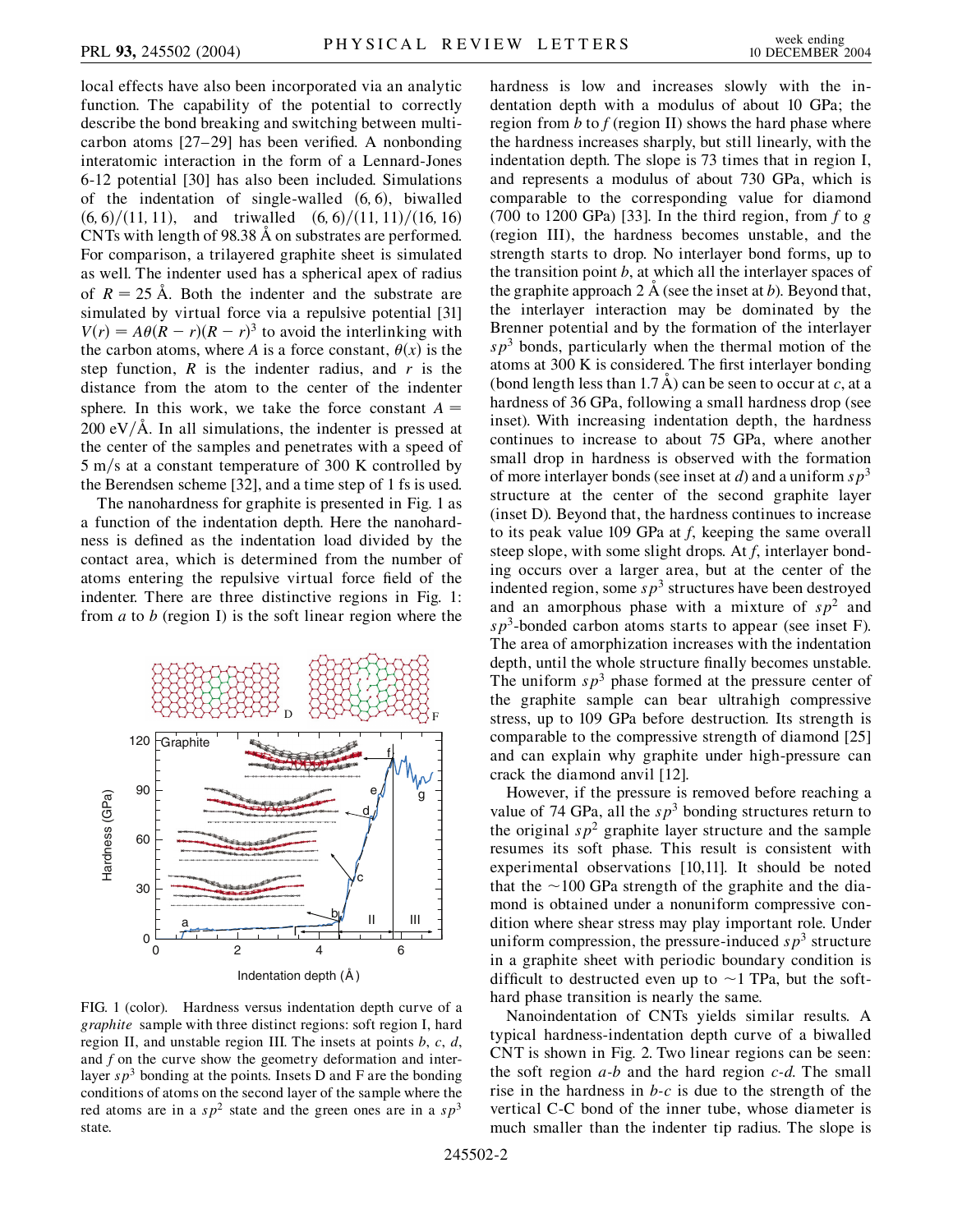local effects have also been incorporated via an analytic function. The capability of the potential to correctly describe the bond breaking and switching between multicarbon atoms [27–29] has been verified. A nonbonding interatomic interaction in the form of a Lennard-Jones 6-12 potential [30] has also been included. Simulations of the indentation of single-walled  $(6, 6)$ , biwalled  $(6, 6)/(11, 11)$ , and triwalled  $(6, 6)/(11, 11)/(16, 16)$ CNTs with length of 98.38 A on substrates are performed. For comparison, a trilayered graphite sheet is simulated as well. The indenter used has a spherical apex of radius of  $R = 25$  Å. Both the indenter and the substrate are simulated by virtual force via a repulsive potential [31]  $V(r) = A\theta(R - r)(R - r)^3$  to avoid the interlinking with the carbon atoms, where *A* is a force constant,  $\theta(x)$  is the step function,  $R$  is the indenter radius, and  $r$  is the distance from the atom to the center of the indenter sphere. In this work, we take the force constant  $A =$  $200 \text{ eV/A}$ . In all simulations, the indenter is pressed at the center of the samples and penetrates with a speed of 5 m/s at a constant temperature of 300 K controlled by the Berendsen scheme [32], and a time step of 1 fs is used.

The nanohardness for graphite is presented in Fig. 1 as a function of the indentation depth. Here the nanohardness is defined as the indentation load divided by the contact area, which is determined from the number of atoms entering the repulsive virtual force field of the indenter. There are three distinctive regions in Fig. 1: from *a* to *b* (region I) is the soft linear region where the



FIG. 1 (color). Hardness versus indentation depth curve of a *graphite* sample with three distinct regions: soft region I, hard region II, and unstable region III. The insets at points *b*, *c*, *d*, and *f* on the curve show the geometry deformation and interlayer  $s p<sup>3</sup>$  bonding at the points. Insets D and F are the bonding conditions of atoms on the second layer of the sample where the red atoms are in a  $sp^2$  state and the green ones are in a  $sp^3$ state.

hardness is low and increases slowly with the indentation depth with a modulus of about 10 GPa; the region from *b* to *f* (region II) shows the hard phase where the hardness increases sharply, but still linearly, with the indentation depth. The slope is 73 times that in region I, and represents a modulus of about 730 GPa, which is comparable to the corresponding value for diamond (700 to 1200 GPa) [33]. In the third region, from *f* to *g* (region III), the hardness becomes unstable, and the strength starts to drop. No interlayer bond forms, up to the transition point *b*, at which all the interlayer spaces of the graphite approach  $2 \text{ Å}$  (see the inset at *b*). Beyond that, the interlayer interaction may be dominated by the Brenner potential and by the formation of the interlayer  $s p<sup>3</sup>$  bonds, particularly when the thermal motion of the atoms at 300 K is considered. The first interlayer bonding (bond length less than 1.7  $\AA$ ) can be seen to occur at *c*, at a hardness of 36 GPa, following a small hardness drop (see inset). With increasing indentation depth, the hardness continues to increase to about 75 GPa, where another small drop in hardness is observed with the formation of more interlayer bonds (see inset at *d*) and a uniform *sp*<sup>3</sup> structure at the center of the second graphite layer (inset D). Beyond that, the hardness continues to increase to its peak value 109 GPa at *f*, keeping the same overall steep slope, with some slight drops. At *f*, interlayer bonding occurs over a larger area, but at the center of the indented region, some  $s p<sup>3</sup>$  structures have been destroyed and an amorphous phase with a mixture of  $sp<sup>2</sup>$  and *sp*3-bonded carbon atoms starts to appear (see inset F). The area of amorphization increases with the indentation depth, until the whole structure finally becomes unstable. The uniform  $sp<sup>3</sup>$  phase formed at the pressure center of the graphite sample can bear ultrahigh compressive stress, up to 109 GPa before destruction. Its strength is comparable to the compressive strength of diamond [25] and can explain why graphite under high-pressure can crack the diamond anvil [12].

However, if the pressure is removed before reaching a value of 74 GPa, all the  $sp^3$  bonding structures return to the original  $sp^2$  graphite layer structure and the sample resumes its soft phase. This result is consistent with experimental observations [10,11]. It should be noted that the  $\sim$ 100 GPa strength of the graphite and the diamond is obtained under a nonuniform compressive condition where shear stress may play important role. Under uniform compression, the pressure-induced  $s p<sup>3</sup>$  structure in a graphite sheet with periodic boundary condition is difficult to destructed even up to  $\sim$ 1 TPa, but the softhard phase transition is nearly the same.

Nanoindentation of CNTs yields similar results. A typical hardness-indentation depth curve of a biwalled CNT is shown in Fig. 2. Two linear regions can be seen: the soft region *a-b* and the hard region *c-d*. The small rise in the hardness in *b-c* is due to the strength of the vertical C-C bond of the inner tube, whose diameter is much smaller than the indenter tip radius. The slope is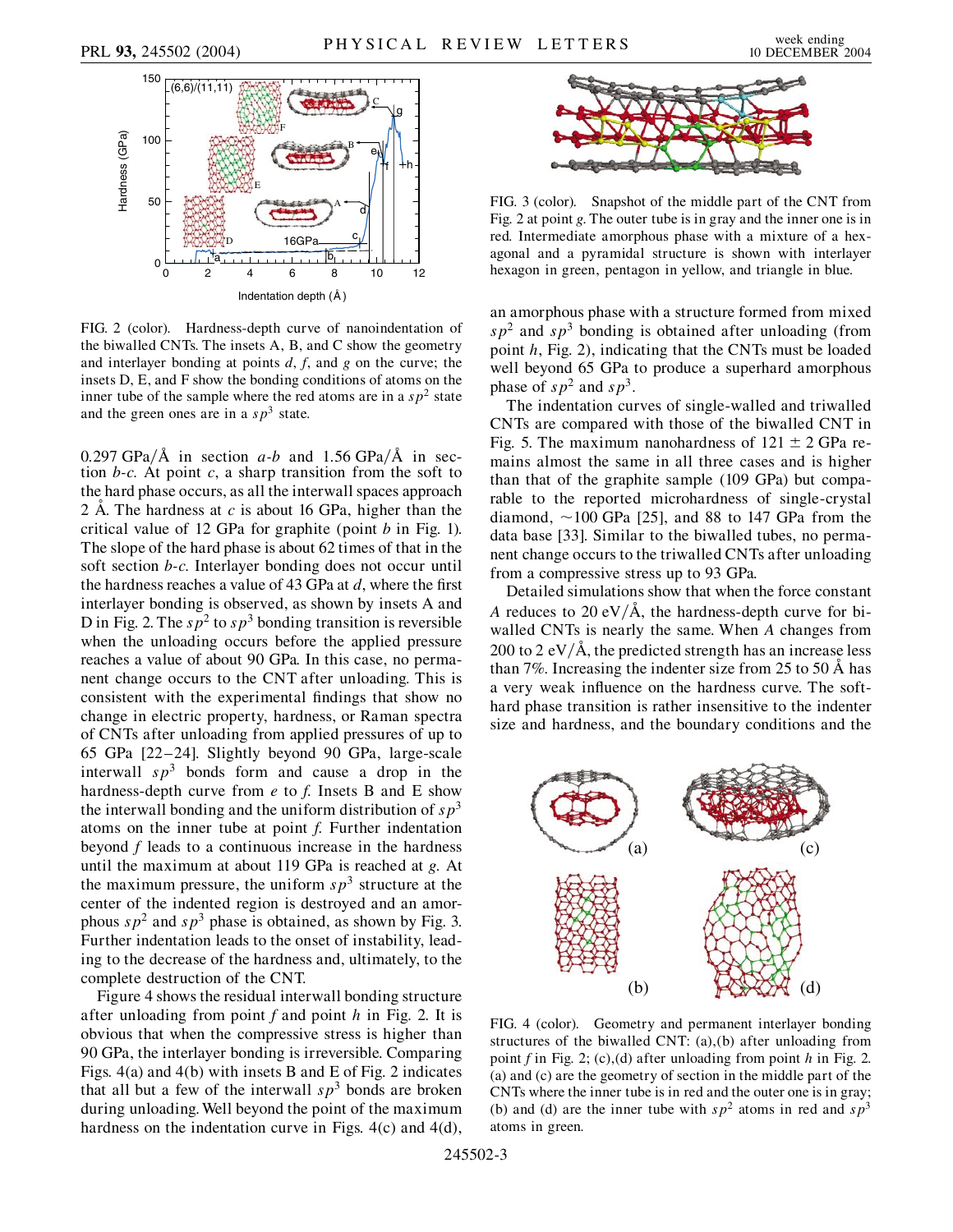

FIG. 2 (color). Hardness-depth curve of nanoindentation of the biwalled CNTs. The insets A, B, and C show the geometry and interlayer bonding at points *d*, *f*, and *g* on the curve; the insets D, E, and F show the bonding conditions of atoms on the inner tube of the sample where the red atoms are in a  $sp<sup>2</sup>$  state and the green ones are in a  $s p<sup>3</sup>$  state.

 $0.297 \text{ GPa}/\text{\AA}$  in section *a-b* and 1.56 GPa/ $\text{\AA}$  in section *b-c*. At point *c*, a sharp transition from the soft to the hard phase occurs, as all the interwall spaces approach 2 A. The hardness at  $c$  is about 16 GPa, higher than the critical value of 12 GPa for graphite (point *b* in Fig. 1). The slope of the hard phase is about 62 times of that in the soft section *b-c*. Interlayer bonding does not occur until the hardness reaches a value of 43 GPa at *d*, where the first interlayer bonding is observed, as shown by insets A and D in Fig. 2. The  $sp^2$  to  $sp^3$  bonding transition is reversible when the unloading occurs before the applied pressure reaches a value of about 90 GPa. In this case, no permanent change occurs to the CNT after unloading. This is consistent with the experimental findings that show no change in electric property, hardness, or Raman spectra of CNTs after unloading from applied pressures of up to 65 GPa [22–24]. Slightly beyond 90 GPa, large-scale interwall  $s p<sup>3</sup>$  bonds form and cause a drop in the hardness-depth curve from *e* to *f*. Insets B and E show the interwall bonding and the uniform distribution of  $s p<sup>3</sup>$ atoms on the inner tube at point *f*. Further indentation beyond *f* leads to a continuous increase in the hardness until the maximum at about 119 GPa is reached at *g*. At the maximum pressure, the uniform  $s p<sup>3</sup>$  structure at the center of the indented region is destroyed and an amorphous  $sp^2$  and  $sp^3$  phase is obtained, as shown by Fig. 3. Further indentation leads to the onset of instability, leading to the decrease of the hardness and, ultimately, to the complete destruction of the CNT.

Figure 4 shows the residual interwall bonding structure after unloading from point *f* and point *h* in Fig. 2. It is obvious that when the compressive stress is higher than 90 GPa, the interlayer bonding is irreversible. Comparing Figs. 4(a) and 4(b) with insets B and E of Fig. 2 indicates that all but a few of the interwall  $sp<sup>3</sup>$  bonds are broken during unloading. Well beyond the point of the maximum hardness on the indentation curve in Figs. 4(c) and 4(d),



FIG. 3 (color). Snapshot of the middle part of the CNT from Fig. 2 at point *g*. The outer tube is in gray and the inner one is in red. Intermediate amorphous phase with a mixture of a hexagonal and a pyramidal structure is shown with interlayer hexagon in green, pentagon in yellow, and triangle in blue.

an amorphous phase with a structure formed from mixed  $s p<sup>2</sup>$  and  $s p<sup>3</sup>$  bonding is obtained after unloading (from point *h*, Fig. 2), indicating that the CNTs must be loaded well beyond 65 GPa to produce a superhard amorphous phase of  $sp^2$  and  $sp^3$ .

The indentation curves of single-walled and triwalled CNTs are compared with those of the biwalled CNT in Fig. 5. The maximum nanohardness of  $121 \pm 2$  GPa remains almost the same in all three cases and is higher than that of the graphite sample (109 GPa) but comparable to the reported microhardness of single-crystal diamond,  $\sim$ 100 GPa [25], and 88 to 147 GPa from the data base [33]. Similar to the biwalled tubes, no permanent change occurs to the triwalled CNTs after unloading from a compressive stress up to 93 GPa.

Detailed simulations show that when the force constant *A* reduces to 20 eV/ $\AA$ , the hardness-depth curve for biwalled CNTs is nearly the same. When *A* changes from 200 to 2 eV $/\text{\AA}$ , the predicted strength has an increase less than 7%. Increasing the indenter size from 25 to 50  $\AA$  has a very weak influence on the hardness curve. The softhard phase transition is rather insensitive to the indenter size and hardness, and the boundary conditions and the



FIG. 4 (color). Geometry and permanent interlayer bonding structures of the biwalled CNT: (a),(b) after unloading from point *f* in Fig. 2; (c),(d) after unloading from point *h* in Fig. 2. (a) and (c) are the geometry of section in the middle part of the CNTs where the inner tube is in red and the outer one is in gray; (b) and (d) are the inner tube with  $sp^2$  atoms in red and  $sp^3$ atoms in green.